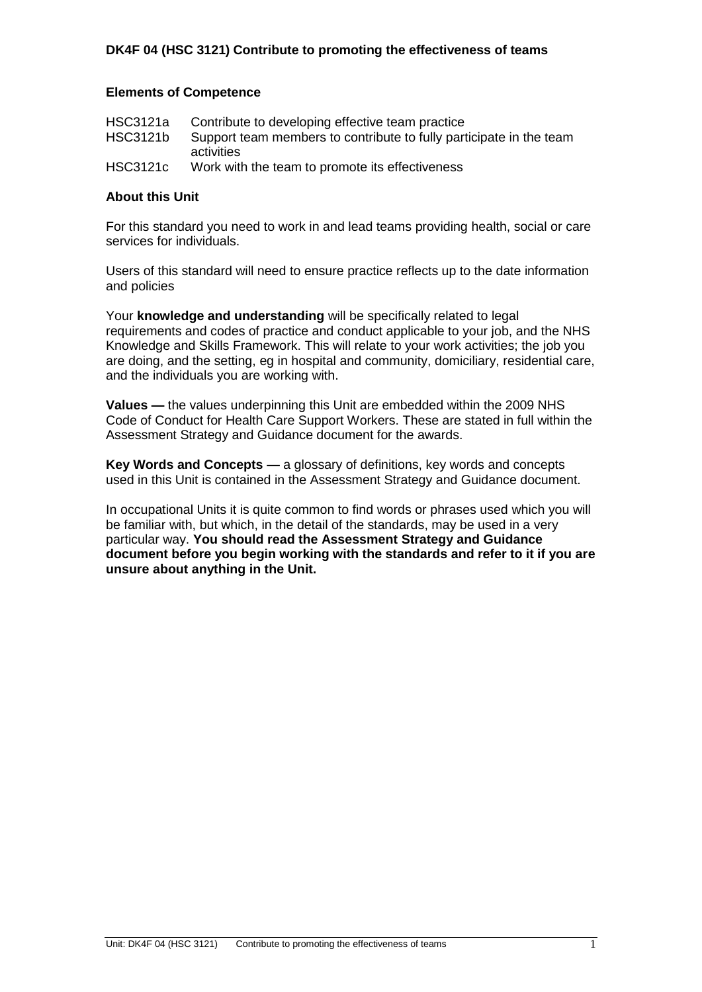#### **Elements of Competence**

| HSC3121a        | Contribute to developing effective team practice                    |
|-----------------|---------------------------------------------------------------------|
| <b>HSC3121b</b> | Support team members to contribute to fully participate in the team |
|                 | activities                                                          |
| <b>HSC3121c</b> | Work with the team to promote its effectiveness                     |

#### **About this Unit**

For this standard you need to work in and lead teams providing health, social or care services for individuals.

Users of this standard will need to ensure practice reflects up to the date information and policies

Your **knowledge and understanding** will be specifically related to legal requirements and codes of practice and conduct applicable to your job, and the NHS Knowledge and Skills Framework. This will relate to your work activities; the job you are doing, and the setting, eg in hospital and community, domiciliary, residential care, and the individuals you are working with.

**Values —** the values underpinning this Unit are embedded within the 2009 NHS Code of Conduct for Health Care Support Workers. These are stated in full within the Assessment Strategy and Guidance document for the awards.

**Key Words and Concepts —** a glossary of definitions, key words and concepts used in this Unit is contained in the Assessment Strategy and Guidance document.

In occupational Units it is quite common to find words or phrases used which you will be familiar with, but which, in the detail of the standards, may be used in a very particular way. **You should read the Assessment Strategy and Guidance document before you begin working with the standards and refer to it if you are unsure about anything in the Unit.**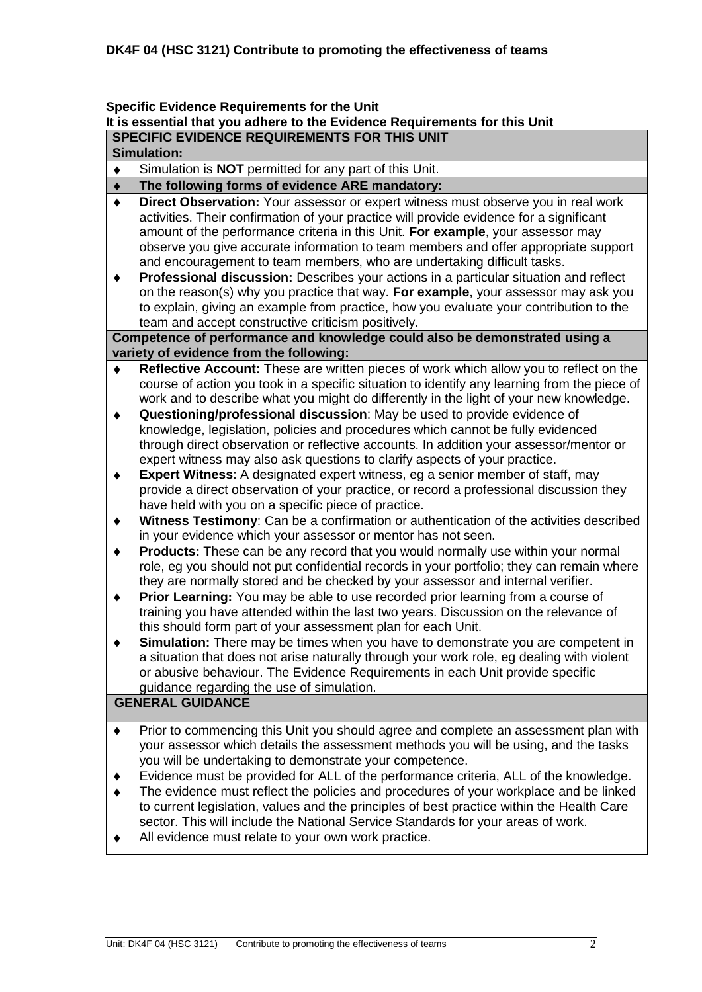#### **Specific Evidence Requirements for the Unit It is essential that you adhere to the Evidence Requirements for this Unit SPECIFIC EVIDENCE REQUIREMENTS FOR THIS UNIT**

#### **Simulation:**

Simulation is **NOT** permitted for any part of this Unit.  $\bullet$ 

#### **The following forms of evidence ARE mandatory:**  $\bullet$

- **Direct Observation:** Your assessor or expert witness must observe you in real work  $\bullet$ activities. Their confirmation of your practice will provide evidence for a significant amount of the performance criteria in this Unit. **For example**, your assessor may observe you give accurate information to team members and offer appropriate support and encouragement to team members, who are undertaking difficult tasks.
- $\blacklozenge$ **Professional discussion:** Describes your actions in a particular situation and reflect on the reason(s) why you practice that way. **For example**, your assessor may ask you to explain, giving an example from practice, how you evaluate your contribution to the team and accept constructive criticism positively.

**Competence of performance and knowledge could also be demonstrated using a variety of evidence from the following:**

- **Reflective Account:** These are written pieces of work which allow you to reflect on the course of action you took in a specific situation to identify any learning from the piece of work and to describe what you might do differently in the light of your new knowledge.
- $\blacklozenge$ **Questioning/professional discussion**: May be used to provide evidence of knowledge, legislation, policies and procedures which cannot be fully evidenced through direct observation or reflective accounts. In addition your assessor/mentor or expert witness may also ask questions to clarify aspects of your practice.
- **Expert Witness**: A designated expert witness, eg a senior member of staff, may  $\blacklozenge$ provide a direct observation of your practice, or record a professional discussion they have held with you on a specific piece of practice.
- **Witness Testimony**: Can be a confirmation or authentication of the activities described  $\blacklozenge$ in your evidence which your assessor or mentor has not seen.
- **Products:** These can be any record that you would normally use within your normal  $\blacklozenge$ role, eg you should not put confidential records in your portfolio; they can remain where they are normally stored and be checked by your assessor and internal verifier.
- **Prior Learning:** You may be able to use recorded prior learning from a course of  $\blacklozenge$ training you have attended within the last two years. Discussion on the relevance of this should form part of your assessment plan for each Unit.
- $\ddot{\bullet}$ **Simulation:** There may be times when you have to demonstrate you are competent in a situation that does not arise naturally through your work role, eg dealing with violent or abusive behaviour. The Evidence Requirements in each Unit provide specific guidance regarding the use of simulation.

## **GENERAL GUIDANCE**

- Prior to commencing this Unit you should agree and complete an assessment plan with  $\blacklozenge$ your assessor which details the assessment methods you will be using, and the tasks you will be undertaking to demonstrate your competence.
- Evidence must be provided for ALL of the performance criteria, ALL of the knowledge.
- The evidence must reflect the policies and procedures of your workplace and be linked to current legislation, values and the principles of best practice within the Health Care sector. This will include the National Service Standards for your areas of work.
- All evidence must relate to your own work practice. $\blacklozenge$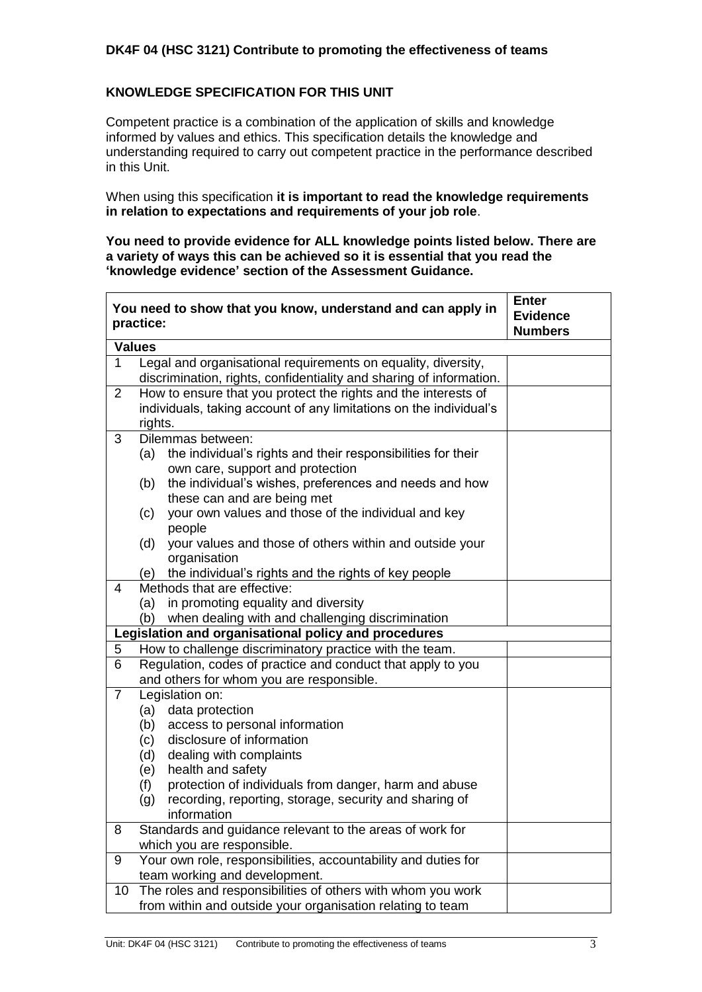#### **KNOWLEDGE SPECIFICATION FOR THIS UNIT**

Competent practice is a combination of the application of skills and knowledge informed by values and ethics. This specification details the knowledge and understanding required to carry out competent practice in the performance described in this Unit.

When using this specification **it is important to read the knowledge requirements in relation to expectations and requirements of your job role**.

**You need to provide evidence for ALL knowledge points listed below. There are a variety of ways this can be achieved so it is essential that you read the 'knowledge evidence' section of the Assessment Guidance.**

|                | You need to show that you know, understand and can apply in<br>practice:      | <b>Enter</b><br><b>Evidence</b><br><b>Numbers</b> |
|----------------|-------------------------------------------------------------------------------|---------------------------------------------------|
|                | <b>Values</b>                                                                 |                                                   |
| $\mathbf{1}$   | Legal and organisational requirements on equality, diversity,                 |                                                   |
|                | discrimination, rights, confidentiality and sharing of information.           |                                                   |
| $\overline{2}$ | How to ensure that you protect the rights and the interests of                |                                                   |
|                | individuals, taking account of any limitations on the individual's<br>rights. |                                                   |
| 3              | Dilemmas between:                                                             |                                                   |
|                | the individual's rights and their responsibilities for their<br>(a)           |                                                   |
|                | own care, support and protection                                              |                                                   |
|                | the individual's wishes, preferences and needs and how<br>(b)                 |                                                   |
|                | these can and are being met                                                   |                                                   |
|                | your own values and those of the individual and key<br>(c)<br>people          |                                                   |
|                | your values and those of others within and outside your<br>(d)                |                                                   |
|                | organisation                                                                  |                                                   |
|                | the individual's rights and the rights of key people<br>(e)                   |                                                   |
| 4              | Methods that are effective:                                                   |                                                   |
|                | in promoting equality and diversity<br>(a)                                    |                                                   |
|                | (b) when dealing with and challenging discrimination                          |                                                   |
|                | Legislation and organisational policy and procedures                          |                                                   |
| 5              | How to challenge discriminatory practice with the team.                       |                                                   |
| 6              | Regulation, codes of practice and conduct that apply to you                   |                                                   |
|                | and others for whom you are responsible.                                      |                                                   |
| $\overline{7}$ | Legislation on:                                                               |                                                   |
|                | (a) data protection                                                           |                                                   |
|                | access to personal information<br>(b)                                         |                                                   |
|                | disclosure of information<br>(c)                                              |                                                   |
|                | dealing with complaints<br>(d)<br>health and safety<br>(e)                    |                                                   |
|                | protection of individuals from danger, harm and abuse<br>(f)                  |                                                   |
|                | recording, reporting, storage, security and sharing of<br>(g)                 |                                                   |
|                | information                                                                   |                                                   |
| 8              | Standards and guidance relevant to the areas of work for                      |                                                   |
|                | which you are responsible.                                                    |                                                   |
| 9              | Your own role, responsibilities, accountability and duties for                |                                                   |
|                | team working and development.                                                 |                                                   |
| 10             | The roles and responsibilities of others with whom you work                   |                                                   |
|                | from within and outside your organisation relating to team                    |                                                   |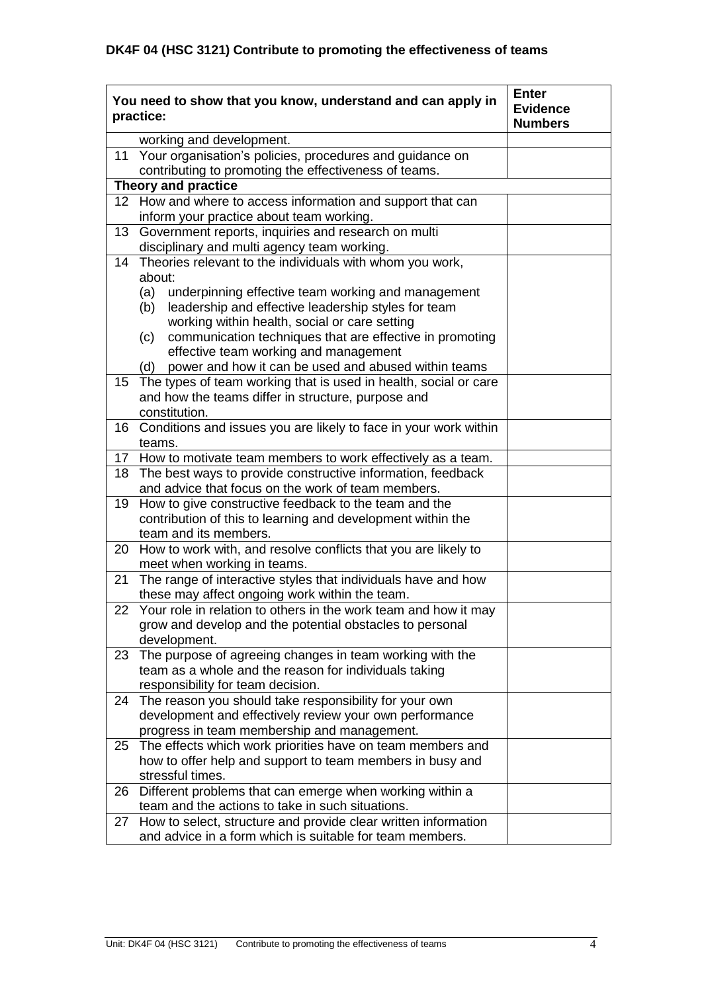| You need to show that you know, understand and can apply in<br>practice:                                           | <b>Evidence</b><br><b>Numbers</b> |
|--------------------------------------------------------------------------------------------------------------------|-----------------------------------|
| working and development.                                                                                           |                                   |
| Your organisation's policies, procedures and guidance on<br>11                                                     |                                   |
| contributing to promoting the effectiveness of teams.                                                              |                                   |
| <b>Theory and practice</b>                                                                                         |                                   |
| 12 How and where to access information and support that can                                                        |                                   |
| inform your practice about team working.                                                                           |                                   |
| Government reports, inquiries and research on multi<br>13                                                          |                                   |
| disciplinary and multi agency team working.                                                                        |                                   |
| Theories relevant to the individuals with whom you work,<br>14                                                     |                                   |
| about:                                                                                                             |                                   |
| (a) underpinning effective team working and management                                                             |                                   |
| leadership and effective leadership styles for team<br>(b)                                                         |                                   |
| working within health, social or care setting                                                                      |                                   |
| communication techniques that are effective in promoting<br>(c)                                                    |                                   |
| effective team working and management                                                                              |                                   |
| power and how it can be used and abused within teams<br>(d)                                                        |                                   |
| 15 The types of team working that is used in health, social or care                                                |                                   |
| and how the teams differ in structure, purpose and                                                                 |                                   |
| constitution.                                                                                                      |                                   |
| 16 Conditions and issues you are likely to face in your work within                                                |                                   |
| teams.                                                                                                             |                                   |
| 17 How to motivate team members to work effectively as a team.                                                     |                                   |
| 18 The best ways to provide constructive information, feedback                                                     |                                   |
| and advice that focus on the work of team members.                                                                 |                                   |
| How to give constructive feedback to the team and the<br>19                                                        |                                   |
| contribution of this to learning and development within the                                                        |                                   |
| team and its members.                                                                                              |                                   |
| 20 How to work with, and resolve conflicts that you are likely to                                                  |                                   |
| meet when working in teams.                                                                                        |                                   |
| The range of interactive styles that individuals have and how<br>21                                                |                                   |
| these may affect ongoing work within the team.                                                                     |                                   |
| 22 Your role in relation to others in the work team and how it may                                                 |                                   |
| grow and develop and the potential obstacles to personal                                                           |                                   |
| development.                                                                                                       |                                   |
| The purpose of agreeing changes in team working with the<br>23                                                     |                                   |
| team as a whole and the reason for individuals taking                                                              |                                   |
| responsibility for team decision.                                                                                  |                                   |
| 24 The reason you should take responsibility for your own                                                          |                                   |
| development and effectively review your own performance                                                            |                                   |
| progress in team membership and management.<br>25 The effects which work priorities have on team members and       |                                   |
|                                                                                                                    |                                   |
| how to offer help and support to team members in busy and<br>stressful times.                                      |                                   |
|                                                                                                                    |                                   |
| Different problems that can emerge when working within a<br>26<br>team and the actions to take in such situations. |                                   |
| How to select, structure and provide clear written information<br>27                                               |                                   |
| and advice in a form which is suitable for team members.                                                           |                                   |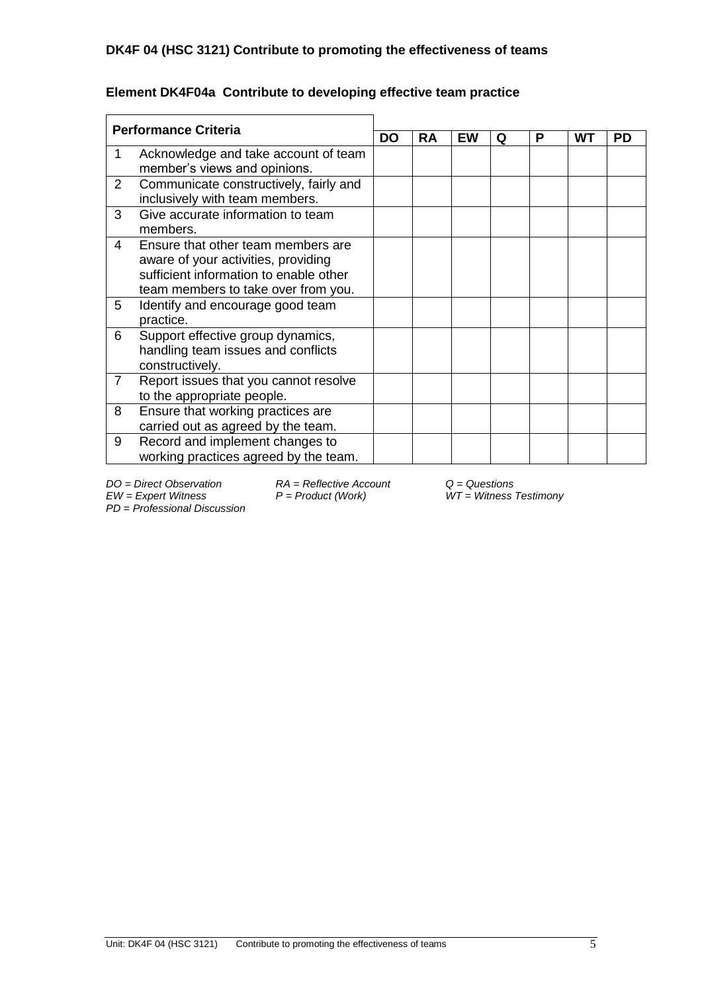| <b>Performance Criteria</b> |                                                                                                                                                            |  |    |    |   |   |    |    |
|-----------------------------|------------------------------------------------------------------------------------------------------------------------------------------------------------|--|----|----|---|---|----|----|
|                             |                                                                                                                                                            |  | RA | EW | Q | P | WТ | PD |
|                             | Acknowledge and take account of team<br>member's views and opinions.                                                                                       |  |    |    |   |   |    |    |
| 2                           | Communicate constructively, fairly and<br>inclusively with team members.                                                                                   |  |    |    |   |   |    |    |
| 3                           | Give accurate information to team<br>members.                                                                                                              |  |    |    |   |   |    |    |
| 4                           | Ensure that other team members are<br>aware of your activities, providing<br>sufficient information to enable other<br>team members to take over from you. |  |    |    |   |   |    |    |
| 5                           | Identify and encourage good team<br>practice.                                                                                                              |  |    |    |   |   |    |    |
| 6                           | Support effective group dynamics,<br>handling team issues and conflicts<br>constructively.                                                                 |  |    |    |   |   |    |    |
| 7                           | Report issues that you cannot resolve<br>to the appropriate people.                                                                                        |  |    |    |   |   |    |    |
| 8                           | Ensure that working practices are<br>carried out as agreed by the team.                                                                                    |  |    |    |   |   |    |    |
| 9                           | Record and implement changes to<br>working practices agreed by the team.                                                                                   |  |    |    |   |   |    |    |

## **Element DK4F04a Contribute to developing effective team practice**

*PD* = *Professional Discussion*

*DO = Direct Observation RA = Reflective Account Q = Questions*

*EW = Expert Witness P = Product (Work) WT = Witness Testimony*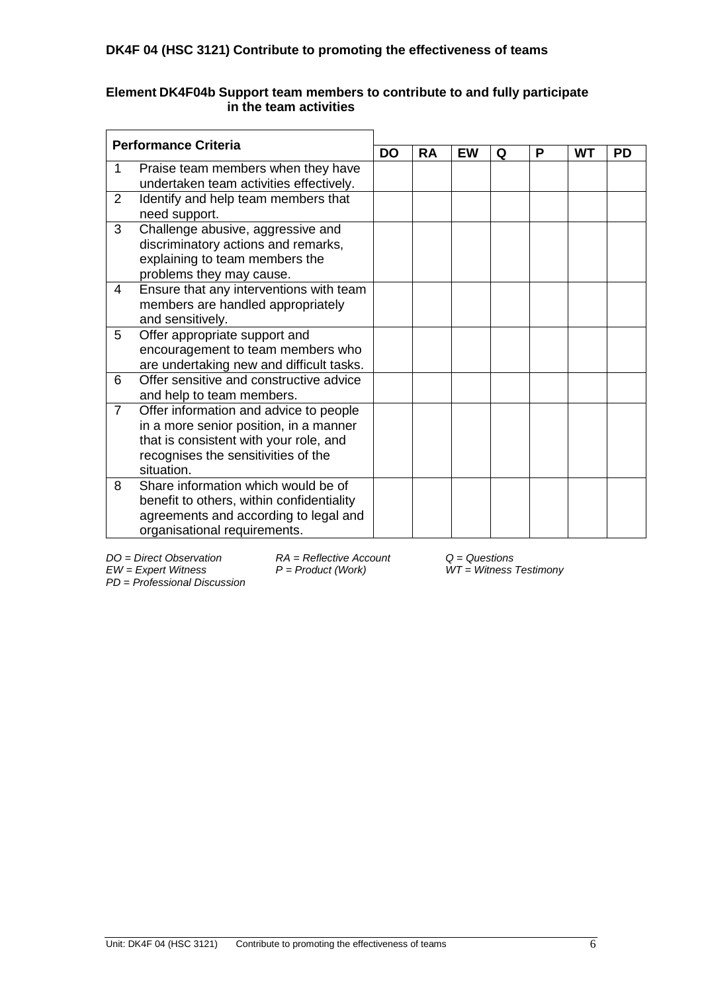### **Element DK4F04b Support team members to contribute to and fully participate in the team activities**

| <b>Performance Criteria</b> |                                                            |  |           |           |   |   |    |           |
|-----------------------------|------------------------------------------------------------|--|-----------|-----------|---|---|----|-----------|
|                             |                                                            |  | <b>RA</b> | <b>EW</b> | Q | P | WТ | <b>PD</b> |
| 1                           | Praise team members when they have                         |  |           |           |   |   |    |           |
|                             | undertaken team activities effectively.                    |  |           |           |   |   |    |           |
| 2                           | Identify and help team members that                        |  |           |           |   |   |    |           |
|                             | need support.                                              |  |           |           |   |   |    |           |
| 3                           | Challenge abusive, aggressive and                          |  |           |           |   |   |    |           |
|                             | discriminatory actions and remarks,                        |  |           |           |   |   |    |           |
|                             | explaining to team members the<br>problems they may cause. |  |           |           |   |   |    |           |
| 4                           | Ensure that any interventions with team                    |  |           |           |   |   |    |           |
|                             | members are handled appropriately                          |  |           |           |   |   |    |           |
|                             | and sensitively.                                           |  |           |           |   |   |    |           |
| 5                           | Offer appropriate support and                              |  |           |           |   |   |    |           |
|                             | encouragement to team members who                          |  |           |           |   |   |    |           |
|                             | are undertaking new and difficult tasks.                   |  |           |           |   |   |    |           |
| 6                           | Offer sensitive and constructive advice                    |  |           |           |   |   |    |           |
|                             | and help to team members.                                  |  |           |           |   |   |    |           |
| $\overline{7}$              | Offer information and advice to people                     |  |           |           |   |   |    |           |
|                             | in a more senior position, in a manner                     |  |           |           |   |   |    |           |
|                             | that is consistent with your role, and                     |  |           |           |   |   |    |           |
|                             | recognises the sensitivities of the<br>situation.          |  |           |           |   |   |    |           |
| 8                           | Share information which would be of                        |  |           |           |   |   |    |           |
|                             | benefit to others, within confidentiality                  |  |           |           |   |   |    |           |
|                             | agreements and according to legal and                      |  |           |           |   |   |    |           |
|                             | organisational requirements.                               |  |           |           |   |   |    |           |
|                             |                                                            |  |           |           |   |   |    |           |

*DO = Direct Observation RA = Reflective Account Q = Questions PD* = *Professional Discussion*

*EW = Expert Witness P = Product (Work) WT = Witness Testimony*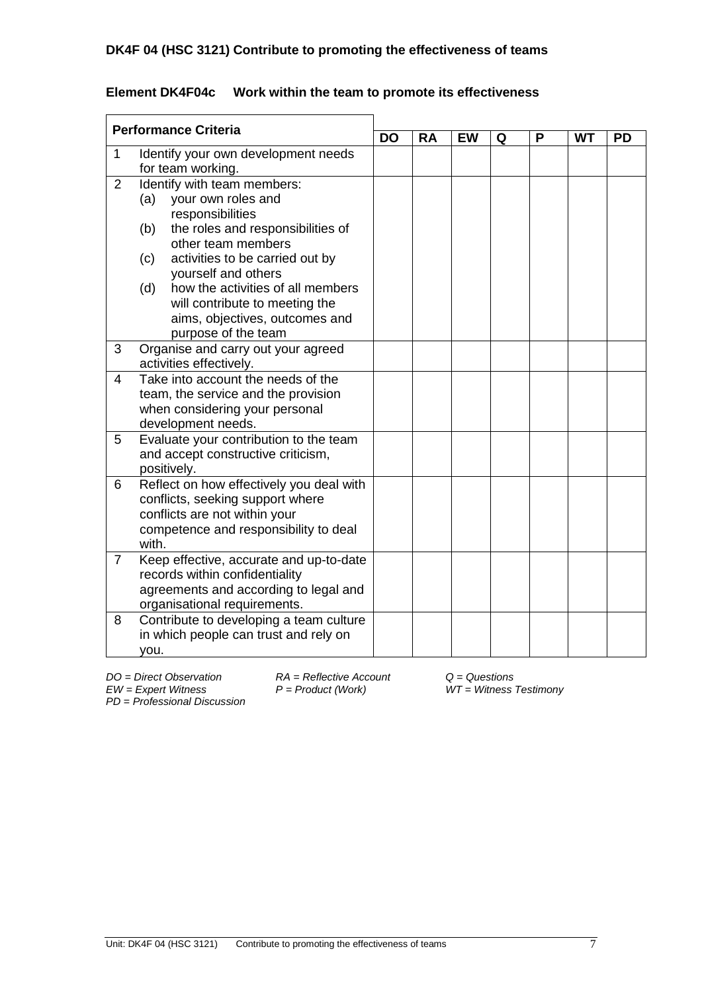| <b>Performance Criteria</b> |                                                                                                                                                                                                                                                                                                                                                        | <b>DO</b> |           |           |   |   |           |           |
|-----------------------------|--------------------------------------------------------------------------------------------------------------------------------------------------------------------------------------------------------------------------------------------------------------------------------------------------------------------------------------------------------|-----------|-----------|-----------|---|---|-----------|-----------|
|                             |                                                                                                                                                                                                                                                                                                                                                        |           | <b>RA</b> | <b>EW</b> | Q | P | <b>WT</b> | <b>PD</b> |
| $\mathbf{1}$                | Identify your own development needs<br>for team working.                                                                                                                                                                                                                                                                                               |           |           |           |   |   |           |           |
| 2                           | Identify with team members:<br>(a)<br>your own roles and<br>responsibilities<br>the roles and responsibilities of<br>(b)<br>other team members<br>activities to be carried out by<br>(c)<br>yourself and others<br>how the activities of all members<br>(d)<br>will contribute to meeting the<br>aims, objectives, outcomes and<br>purpose of the team |           |           |           |   |   |           |           |
| 3                           | Organise and carry out your agreed<br>activities effectively.                                                                                                                                                                                                                                                                                          |           |           |           |   |   |           |           |
| $\overline{4}$              | Take into account the needs of the<br>team, the service and the provision<br>when considering your personal<br>development needs.                                                                                                                                                                                                                      |           |           |           |   |   |           |           |
| 5                           | Evaluate your contribution to the team<br>and accept constructive criticism,<br>positively.                                                                                                                                                                                                                                                            |           |           |           |   |   |           |           |
| 6                           | Reflect on how effectively you deal with<br>conflicts, seeking support where<br>conflicts are not within your<br>competence and responsibility to deal<br>with.                                                                                                                                                                                        |           |           |           |   |   |           |           |
| $\overline{7}$              | Keep effective, accurate and up-to-date<br>records within confidentiality<br>agreements and according to legal and<br>organisational requirements.                                                                                                                                                                                                     |           |           |           |   |   |           |           |
| 8                           | Contribute to developing a team culture<br>in which people can trust and rely on<br>you.                                                                                                                                                                                                                                                               |           |           |           |   |   |           |           |

## **Element DK4F04c Work within the team to promote its effectiveness**

 $P = Product (Work)$ 

*DO = Direct Observation RA = Reflective Account Q = Questions*

*PD* = *Professional Discussion*